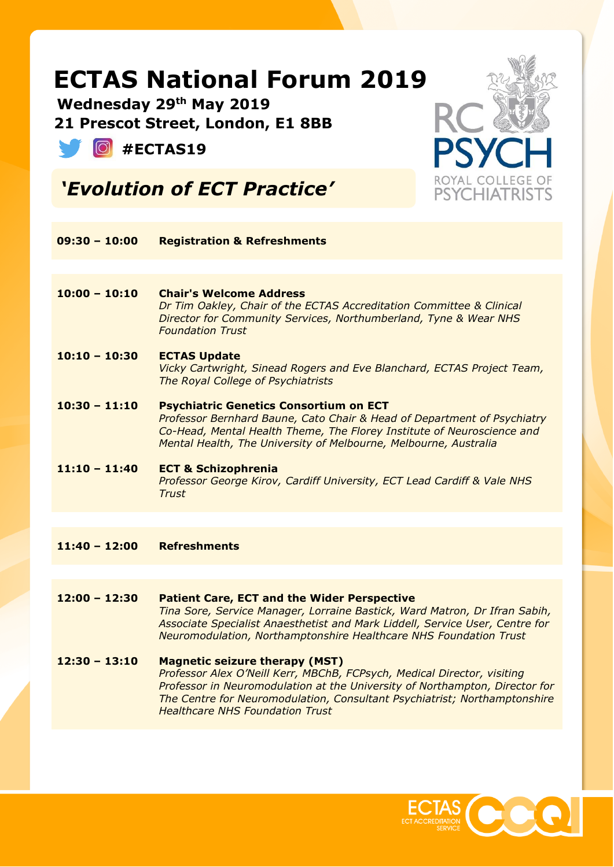## **ECTAS National Forum 2019**

 **Wednesday 29th May 2019 21 Prescot Street, London, E1 8BB**





*'Evolution of ECT Practice'*

| 09:30 - 10:00 | <b>Registration &amp; Refreshments</b> |  |
|---------------|----------------------------------------|--|
|               |                                        |  |

- **10:00 – 10:10 Chair's Welcome Address** *Dr Tim Oakley, Chair of the ECTAS Accreditation Committee & Clinical Director for Community Services, Northumberland, Tyne & Wear NHS Foundation Trust*
- **10:10 – 10:30 ECTAS Update** *Vicky Cartwright, Sinead Rogers and Eve Blanchard, ECTAS Project Team, The Royal College of Psychiatrists*
- **10:30 – 11:10 Psychiatric Genetics Consortium on ECT**  *Professor Bernhard Baune, Cato Chair & Head of Department of Psychiatry Co-Head, Mental Health Theme, The Florey Institute of Neuroscience and Mental Health, The University of Melbourne, Melbourne, Australia*
- **11:10 – 11:40 ECT & Schizophrenia**  *Professor George Kirov, Cardiff University, ECT Lead Cardiff & Vale NHS Trust*
- **11:40 – 12:00 Refreshments**
- **12:00 – 12:30 Patient Care, ECT and the Wider Perspective** *Tina Sore, Service Manager, Lorraine Bastick, Ward Matron, Dr Ifran Sabih, Associate Specialist Anaesthetist and Mark Liddell, Service User, Centre for Neuromodulation, Northamptonshire Healthcare NHS Foundation Trust*
- **12:30 – 13:10 Magnetic seizure therapy (MST)** *Professor Alex O'Neill Kerr, MBChB, FCPsych, Medical Director, visiting Professor in Neuromodulation at the University of Northampton, Director for The Centre for Neuromodulation, Consultant Psychiatrist; Northamptonshire Healthcare NHS Foundation Trust*